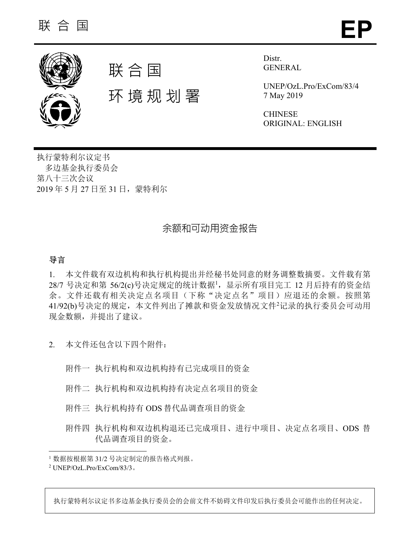



环 境 规 划 署

Distr. GENERAL

UNEP/OzL.Pro/ExCom/83/4 7 May 2019

CHINESE ORIGINAL: ENGLISH

执行蒙特利尔议定书 多边基金执行委员会 第八十三次会议 2019 年 5 月 27 日至 31 日,蒙特利尔

# 余额和可动用资金报告

# 导言

l

1. 本文件载有双边机构和执行机构提出并经秘书处同意的财务调整数摘要。文件载有第 28/7 号决定和第 56/2(c)号决定规定的统计数据1, 显示所有项目完工 12 月后持有的资金结 余。文件还载有相关决定点名项目(下称"决定点名"项目)应退还的余额。按照第 41/92(b)号决定的规定,本文件列出了摊款和资金发放情况文件2记录的执行委员会可动用 现金数额,并提出了建议。

- 2. 本文件还包含以下四个附件:
	- 附件一 执行机构和双边机构持有已完成项目的资金
	- 附件二 执行机构和双边机构持有决定点名项目的资金
	- 附件三 执行机构持有 ODS 替代品调查项目的资金
	- 附件四 执行机构和双边机构退还已完成项目、进行中项目、决定点名项目、ODS 替 代品调查项目的资金。

执行蒙特利尔议定书多边基金执行委员会的会前文件不妨碍文件印发后执行委员会可能作出的任何决定。

<sup>1</sup> 数据按根据第 31/2 号决定制定的报告格式列报。

<sup>2</sup> UNEP/OzL.Pro/ExCom/83/3。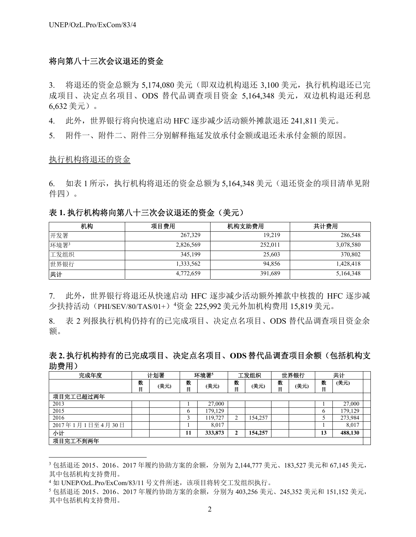## 将向第八十三次会议退还的资金

3. 将退还的资金总额为 5,174,080 美元(即双边机构退还 3,100 美元,执行机构退还已完 成项目、决定点名项目、ODS 替代品调查项目资金 5,164,348 美元,双边机构退还利息 6,632 美元)。

4. 此外,世界银行将向快速启动 HFC 逐步减少活动额外摊款退还 241,811 美元。

5. 附件一、附件二、附件三分别解释拖延发放承付金额或退还未承付金额的原因。

### 执行机构将退还的资金

l

6. 如表 1 所示,执行机构将退还的资金总额为 5.164.348 美元(退还资金的项目清单见附 件四)。

## 表 **1.** 执行机构将向第八十三次会议退还的资金(美元)

| 机构   | 项目费用      | 机构支助费用  | 共计费用      |
|------|-----------|---------|-----------|
| 开发署  | 267,329   | 19.219  | 286,548   |
| 环境署3 | 2,826,569 | 252,011 | 3,078,580 |
| 工发组织 | 345,199   | 25,603  | 370,802   |
| 世界银行 | 1,333,562 | 94.856  | 1,428,418 |
| 共计   | 4,772,659 | 391,689 | 5,164,348 |

7. 此外,世界银行将退还从快速启动 HFC 逐步减少活动额外摊款中核拨的 HFC 逐步减 少扶持活动(PHI/SEV/80/TAS/01+)<sup>4</sup>资金 225,992 美元外加机构费用 15,819 美元。

8. 表 2 列报执行机构仍持有的已完成项目、决定点名项目、ODS 替代品调查项目资金余 额。

## 表 **2.** 执行机构持有的已完成项目、决定点名项目、**ODS**替代品调查项目余额(包括机构支 助费用)

| 完成年度            |        | 计划署  | 环境署5<br>工发组织<br>世界银行 |         | 共计       |         |        |      |               |         |  |
|-----------------|--------|------|----------------------|---------|----------|---------|--------|------|---------------|---------|--|
|                 | 数<br>目 | (美元) | 数<br>目               | (美元)    | 数<br>目   | (美元)    | 数<br>目 | (美元) | 数<br>目        | (美元)    |  |
| 项目完工已超过两年       |        |      |                      |         |          |         |        |      |               |         |  |
| 2013            |        |      |                      | 27,000  |          |         |        |      |               | 27,000  |  |
| 2015            |        |      | O                    | 179,129 |          |         |        |      | $\mathfrak b$ | 179,129 |  |
| 2016            |        |      | ◠                    | 119,727 | ◠        | 154,257 |        |      |               | 273,984 |  |
| 2017年1月1日至4月30日 |        |      |                      | 8.017   |          |         |        |      |               | 8,017   |  |
| 小计              |        |      | 11                   | 333,873 | <u>า</u> | 154,257 |        |      | 13            | 488,130 |  |
| 项目完工不到两年        |        |      |                      |         |          |         |        |      |               |         |  |

<sup>3</sup> 包括退还 2015、2016、2017 年履约协助方案的余额,分别为 2,144,777 美元、183,527 美元和 67,145 美元, 其中包括机构支持费用。

<sup>4</sup> 如 UNEP/OzL.Pro/ExCom/83/11 号文件所述,该项目将转交工发组织执行。

<sup>5</sup> 包括退还 2015、2016、2017 年履约协助方案的余额,分别为 403,256 美元、245,352 美元和 151,152 美元, 其中包括机构支持费用。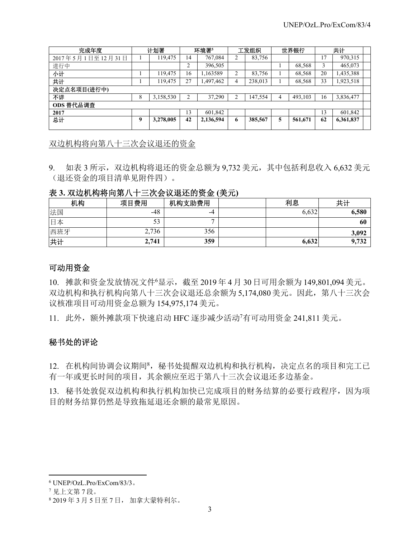| 完成年度             |   | 计划署       |                | 环境署5      |    | 工发组织    |   | 世界银行    |    | 共计        |  |
|------------------|---|-----------|----------------|-----------|----|---------|---|---------|----|-----------|--|
| 2017年5月1日至12月31日 |   | 19,475    | 14             | 767,084   |    | 83,756  |   |         | 17 | 970,315   |  |
| 进行中              |   |           | 2              | 396,505   |    |         |   | 68,568  |    | 465,073   |  |
| 小计               |   | 19,475    | 16             | 1,163589  | ↑  | 83,756  |   | 68,568  | 20 | 1,435,388 |  |
| 共计               |   | 19.475    | 27             | ,497,462  | 4  | 238,013 |   | 68,568  | 33 | 1,923,518 |  |
| 决定点名项目(进行中)      |   |           |                |           |    |         |   |         |    |           |  |
| 不详               | 8 | 3,158,530 | $\overline{2}$ | 37,290    | ◠  | 147,554 | 4 | 493,103 | 16 | 3,836,477 |  |
| ODS 替代品调查        |   |           |                |           |    |         |   |         |    |           |  |
| 2017             |   |           | 13             | 601.842   |    |         |   |         | 13 | 601,842   |  |
| 总计               | 9 | 3,278,005 | 42             | 2,136,594 | -6 | 385,567 | 5 | 561,671 | 62 | 6,361,837 |  |
|                  |   |           |                |           |    |         |   |         |    |           |  |

双边机构将向第八十三次会议退还的资金

9. 如表 3 所示, 双边机构将退还的资金总额为 9.732 美元, 其中包括利息收入 6.632 美元 (退还资金的项目清单见附件四)。

## 表 **3.** 双边机构将向第八十三次会议退还的资金 **(**美元**)**

| 机构  | 项目费用  | 机构支助费用 | 利息    | 共计    |
|-----|-------|--------|-------|-------|
| 法国  | -48   | -4     | 6,632 | 6,580 |
| 日本  |       | -      |       | 60    |
| 西班牙 | 2,736 | 356    |       | 3,092 |
| 共计  | 2,741 | 359    | 6,632 | 9,732 |

## 可动用资金

10. 摊款和资金发放情况文件<sup>6</sup> 显示,截至 2019 年 4 月 30 日可用余额为 149,801,094 美元。 双边机构和执行机构向第八十三次会议退还总余额为 5,174,080 美元。因此,第八十三次会 议核准项目可动用资金总额为 154,975,174 美元。

11. 此外,额外摊款项下快速启动 HFC 逐步减少活动<sup>7</sup> 有可动用资金 241,811 美元。

## 秘书处的评论

12. 在机构间协调会议期间8, 秘书处提醒双边机构和执行机构, 决定点名的项目和完工已 有一年或更长时间的项目,其余额应至迟于第八十三次会议退还多边基金。

13. 秘书处敦促双边机构和执行机构加快已完成项目的财务结算的必要行政程序,因为项 目的财务结算仍然是导致拖延退还余额的最常见原因。

l

<sup>6</sup> UNEP/OzL.Pro/ExCom/83/3。

<sup>7</sup> 见上文第 7 段。

<sup>8</sup> 2019 年 3 月 5 日至 7 日, 加拿大蒙特利尔。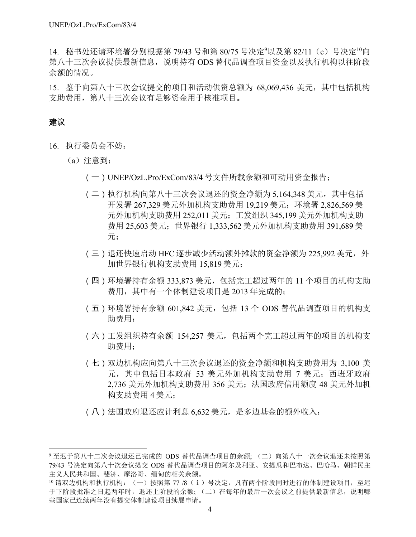14. 秘书处还请环境署分别根据第 79/43 号和第 80/75 号决定<sup>9</sup>以及第 82/11 (c) 号决定<sup>10</sup>向 第八十三次会议提供最新信息,说明持有 ODS 替代品调查项目资金以及执行机构以往阶段 余额的情况。

15. 鉴于向第八十三次会议提交的项目和活动供资总额为 68,069,436 美元,其中包括机构 支助费用,第八十三次会议有足够资金用于核准项目。

## 建议

 $\overline{\phantom{a}}$ 

- 16. 执行委员会不妨:
	- (a)注意到:
		- (一)UNEP/OzL.Pro/ExCom/83/4 号文件所载余额和可动用资金报告;
		- (二)执行机构向第八十三次会议退还的资金净额为 5,164,348 美元,其中包括 开发署 267,329 美元外加机构支助费用 19,219 美元;环境署 2,826,569 美 元外加机构支助费用 252,011 美元;工发组织 345,199 美元外加机构支助 费用 25,603 美元;世界银行 1,333,562 美元外加机构支助费用 391,689 美 元;
		- (三)退还快速启动 HFC 逐步减少活动额外摊款的资金净额为 225,992 美元, 外 加世界银行机构支助费用 15,819 美元;
		- (四)环境署持有余额 333,873 美元,包括完工超过两年的 11 个项目的机构支助 费用,其中有一个体制建设项目是 2013 年完成的;
		- (五)环境署持有余额 601,842 美元,包括 13 个 ODS 替代品调查项目的机构支 助费用;
		- (六)工发组织持有余额 154,257 美元,包括两个完工超过两年的项目的机构支 助费用;
		- (七)双边机构应向第八十三次会议退还的资金净额和机构支助费用为 3,100 美 元, 其中包括日本政府 53 美元外加机构支助费用 7 美元; 西班牙政府 2,736 美元外加机构支助费用 356 美元;法国政府信用额度 48 美元外加机 构支助费用 4 美元;
		- (八)法国政府退还应计利息 6,632 美元,是多边基金的额外收入;

<sup>9</sup> 至迟于第八十二次会议退还已完成的 ODS 替代品调查项目的余额; (二)向第八十一次会议退还未按照第 79/43 号决定向第八十次会议提交 ODS 替代品调查项目的阿尔及利亚、安提瓜和巴布达、巴哈马、朝鲜民主 主义人民共和国、斐济、摩洛哥、缅甸的相关余额。

<sup>10</sup> 请双边机构和执行机构: (一) 按照第 77 /8 (i) 号决定, 凡有两个阶段同时进行的体制建设项目, 至迟 于下阶段批准之日起两年时,退还上阶段的余额; (二)在每年的最后一次会议之前提供最新信息,说明哪 些国家已连续两年没有提交体制建设项目续展申请。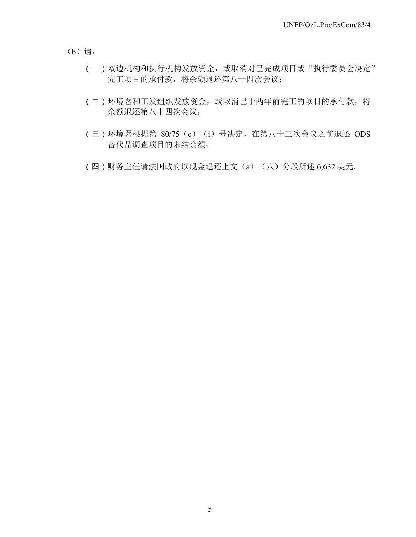(b)请:

- (一)双边机构和执行机构发放资金,或取消对已完成项目或"执行委员会决定" 完工项目的承付款,将余额退还第八十四次会议;
- (二)环境署和工发组织发放资金,或取消已于两年前完工的项目的承付款,将 余额退还第八十四次会议;
- (三)环境署根据第 80/75 (c) (i) 号决定, 在第八十三次会议之前退还 ODS 替代品调查项目的未结余额;
- (四)财务主任请法国政府以现金退还上文(a)(八)分段所述 6,632 美元。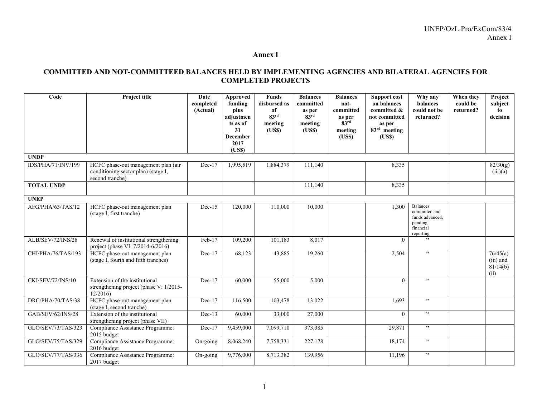#### **Annex I**

### **COMMITTED AND NOT-COMMITTEED BALANCES HELD BY IMPLEMENTING AGENCIES AND BILATERAL AGENCIES FOR COMPLETED PROJECTS**

| Code               | Project title                                                                                 | Date<br>completed<br>(Actual) | Approved<br>funding<br>plus<br>adjustmen<br>ts as of<br>31<br><b>December</b><br>2017<br>(USS) | <b>Funds</b><br>disbursed as<br>of<br>83 <sup>rd</sup><br>meeting<br>(USS) | <b>Balances</b><br>committed<br>as per<br>83 <sup>rd</sup><br>meeting<br>( <b>USS</b> ) | <b>Balances</b><br>not-<br>committed<br>as per<br>83 <sup>rd</sup><br>meeting<br>(USS) | <b>Support cost</b><br>on balances<br>committed &<br>not committed<br>as per<br>$83rd$ meeting<br>(USS) | Why any<br>balances<br>could not be<br>returned?                                         | When they<br>could be<br>returned? | Project<br>subject<br>to<br>decision      |
|--------------------|-----------------------------------------------------------------------------------------------|-------------------------------|------------------------------------------------------------------------------------------------|----------------------------------------------------------------------------|-----------------------------------------------------------------------------------------|----------------------------------------------------------------------------------------|---------------------------------------------------------------------------------------------------------|------------------------------------------------------------------------------------------|------------------------------------|-------------------------------------------|
| <b>UNDP</b>        |                                                                                               |                               |                                                                                                |                                                                            |                                                                                         |                                                                                        |                                                                                                         |                                                                                          |                                    |                                           |
| IDS/PHA/71/INV/199 | HCFC phase-out management plan (air<br>conditioning sector plan) (stage I,<br>second tranche) | $Dec-17$                      | 1,995,519                                                                                      | 1,884,379                                                                  | 111,140                                                                                 |                                                                                        | 8,335                                                                                                   |                                                                                          |                                    | $\sqrt{82/30(g)}$<br>(iii)(a)             |
| <b>TOTAL UNDP</b>  |                                                                                               |                               |                                                                                                |                                                                            | 111,140                                                                                 |                                                                                        | 8,335                                                                                                   |                                                                                          |                                    |                                           |
| <b>UNEP</b>        |                                                                                               |                               |                                                                                                |                                                                            |                                                                                         |                                                                                        |                                                                                                         |                                                                                          |                                    |                                           |
| AFG/PHA/63/TAS/12  | HCFC phase-out management plan<br>(stage I, first tranche)                                    | $Dec-15$                      | 120,000                                                                                        | 110,000                                                                    | 10,000                                                                                  |                                                                                        | 1.300                                                                                                   | <b>Balances</b><br>committed and<br>funds advanced,<br>pending<br>financial<br>reporting |                                    |                                           |
| ALB/SEV/72/INS/28  | Renewal of institutional strengthening<br>project (phase VI: 7/2014-6/2016)                   | $Feb-17$                      | 109,200                                                                                        | 101,183                                                                    | 8,017                                                                                   |                                                                                        | $\theta$                                                                                                | , ,                                                                                      |                                    |                                           |
| CHI/PHA/76/TAS/193 | HCFC phase-out management plan<br>(stage I, fourth and fifth tranches)                        | Dec-17                        | 68,123                                                                                         | 43,885                                                                     | 19,260                                                                                  |                                                                                        | 2,504                                                                                                   | , ,                                                                                      |                                    | 76/45(a)<br>(iii) and<br>81/14(b)<br>(ii) |
| CKI/SEV/72/INS/10  | Extension of the institutional<br>strengthening project (phase $V: 1/2015$<br>12/2016         | $Dec-17$                      | 60,000                                                                                         | 55,000                                                                     | 5,000                                                                                   |                                                                                        | $\theta$                                                                                                | , ,                                                                                      |                                    |                                           |
| DRC/PHA/70/TAS/38  | HCFC phase-out management plan<br>(stage I, second tranche)                                   | $Dec-17$                      | 116,500                                                                                        | 103,478                                                                    | 13,022                                                                                  |                                                                                        | 1,693                                                                                                   | , ,                                                                                      |                                    |                                           |
| GAB/SEV/62/INS/28  | Extension of the institutional<br>strengthening project (phase VII)                           | $Dec-13$                      | 60,000                                                                                         | 33,000                                                                     | 27,000                                                                                  |                                                                                        | $\Omega$                                                                                                | , ,                                                                                      |                                    |                                           |
| GLO/SEV/73/TAS/323 | Compliance Assistance Programme:<br>2015 budget                                               | $Dec-17$                      | 9,459,000                                                                                      | 7,099,710                                                                  | 373,385                                                                                 |                                                                                        | 29,871                                                                                                  | , ,                                                                                      |                                    |                                           |
| GLO/SEV/75/TAS/329 | Compliance Assistance Programme:<br>2016 budget                                               | On-going                      | 8,068,240                                                                                      | 7,758,331                                                                  | 227,178                                                                                 |                                                                                        | 18,174                                                                                                  | , ,                                                                                      |                                    |                                           |
| GLO/SEV/77/TAS/336 | Compliance Assistance Programme:<br>2017 budget                                               | On-going                      | 9,776,000                                                                                      | 8,713,382                                                                  | 139,956                                                                                 |                                                                                        | 11,196                                                                                                  | , ,                                                                                      |                                    |                                           |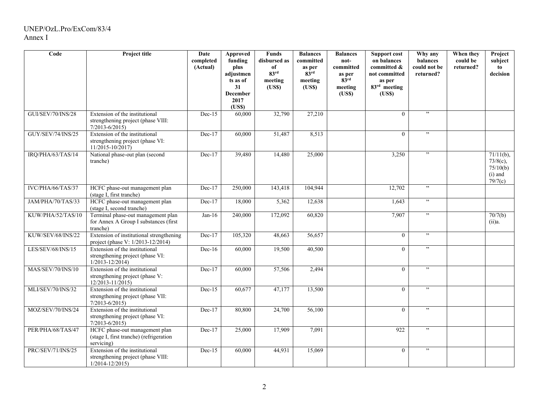## UNEP/OzL.Pro/ExCom/83/4 Annex I

| Code              | Project title                                                                              | Date<br>completed<br>(Actual) | <b>Approved</b><br>funding<br>plus<br>adjustmen<br>ts as of<br>31<br><b>December</b><br>2017<br>(USS) | <b>Funds</b><br>disbursed as<br>of<br>83 <sup>rd</sup><br>meeting<br>(USS) | <b>Balances</b><br>committed<br>as per<br>83 <sup>rd</sup><br>meeting<br>(USS) | <b>Balances</b><br>not-<br>committed<br>as per<br>$83^{\rm rd}$<br>meeting<br>(USS) | <b>Support cost</b><br>on balances<br>committed &<br>not committed<br>as per<br>83rd meeting<br>(USS) | Why any<br>balances<br>could not be<br>returned? | When they<br>could be<br>returned? | Project<br>subject<br>to<br>decision                            |
|-------------------|--------------------------------------------------------------------------------------------|-------------------------------|-------------------------------------------------------------------------------------------------------|----------------------------------------------------------------------------|--------------------------------------------------------------------------------|-------------------------------------------------------------------------------------|-------------------------------------------------------------------------------------------------------|--------------------------------------------------|------------------------------------|-----------------------------------------------------------------|
| GUI/SEV/70/INS/28 | Extension of the institutional<br>strengthening project (phase VIII:<br>$7/2013 - 6/2015$  | $Dec-15$                      | 60,000                                                                                                | 32,790                                                                     | 27,210                                                                         |                                                                                     | $\theta$                                                                                              | , ,                                              |                                    |                                                                 |
| GUY/SEV/74/INS/25 | Extension of the institutional<br>strengthening project (phase VI:<br>11/2015-10/2017)     | $Dec-17$                      | 60,000                                                                                                | 51,487                                                                     | 8,513                                                                          |                                                                                     | $\theta$                                                                                              | , ,                                              |                                    |                                                                 |
| IRQ/PHA/63/TAS/14 | National phase-out plan (second<br>tranche)                                                | $Dec-17$                      | 39,480                                                                                                | 14,480                                                                     | 25,000                                                                         |                                                                                     | 3,250                                                                                                 | $, ,$                                            |                                    | $71/11(b)$ ,<br>$73/8(c)$ ,<br>75/10(b)<br>$(i)$ and<br>79/7(c) |
| IVC/PHA/66/TAS/37 | HCFC phase-out management plan<br>(stage I, first tranche)                                 | Dec-17                        | 250,000                                                                                               | 143,418                                                                    | 104,944                                                                        |                                                                                     | 12,702                                                                                                | , ,                                              |                                    |                                                                 |
| JAM/PHA/70/TAS/33 | HCFC phase-out management plan<br>(stage I, second tranche)                                | $Dec-17$                      | 18,000                                                                                                | 5,362                                                                      | 12,638                                                                         |                                                                                     | 1,643                                                                                                 | ,                                                |                                    |                                                                 |
| KUW/PHA/52/TAS/10 | Terminal phase-out management plan<br>for Annex A Group I substances (first<br>tranche)    | $Jan-16$                      | 240,000                                                                                               | 172,092                                                                    | 60,820                                                                         |                                                                                     | 7.907                                                                                                 | , ,                                              |                                    | 70/7(b)<br>(ii)a.                                               |
| KUW/SEV/68/INS/22 | Extension of institutional strengthening<br>project (phase V: 1/2013-12/2014)              | $Dec-17$                      | 105,320                                                                                               | 48,663                                                                     | 56,657                                                                         |                                                                                     | $\theta$                                                                                              | $, ,$                                            |                                    |                                                                 |
| LES/SEV/68/INS/15 | Extension of the institutional<br>strengthening project (phase VI:<br>$1/2013 - 12/2014$   | $Dec-16$                      | 60,000                                                                                                | 19,500                                                                     | 40,500                                                                         |                                                                                     | $\theta$                                                                                              | , ,                                              |                                    |                                                                 |
| MAS/SEV/70/INS/10 | Extension of the institutional<br>strengthening project (phase V:<br>$12/2013 - 11/2015$   | $Dec-17$                      | 60,000                                                                                                | 57,506                                                                     | 2,494                                                                          |                                                                                     | $\Omega$                                                                                              | ,                                                |                                    |                                                                 |
| MLI/SEV/70/INS/32 | Extension of the institutional<br>strengthening project (phase VII:<br>$7/2013 - 6/2015$   | $Dec-15$                      | 60,677                                                                                                | 47,177                                                                     | 13,500                                                                         |                                                                                     | $\Omega$                                                                                              | , ,                                              |                                    |                                                                 |
| MOZ/SEV/70/INS/24 | Extension of the institutional<br>strengthening project (phase VI:<br>$7/2013 - 6/2015$    | $Dec-17$                      | 80,800                                                                                                | 24,700                                                                     | 56,100                                                                         |                                                                                     | $\overline{0}$                                                                                        | , ,                                              |                                    |                                                                 |
| PER/PHA/68/TAS/47 | HCFC phase-out management plan<br>(stage I, first tranche) (refrigeration<br>servicing)    | $Dec-17$                      | 25,000                                                                                                | 17,909                                                                     | 7,091                                                                          |                                                                                     | 922                                                                                                   | $, ,$                                            |                                    |                                                                 |
| PRC/SEV/71/INS/25 | Extension of the institutional<br>strengthening project (phase VIII:<br>$1/2014 - 12/2015$ | $Dec-15$                      | 60,000                                                                                                | 44,931                                                                     | 15,069                                                                         |                                                                                     | $\theta$                                                                                              | , ,                                              |                                    |                                                                 |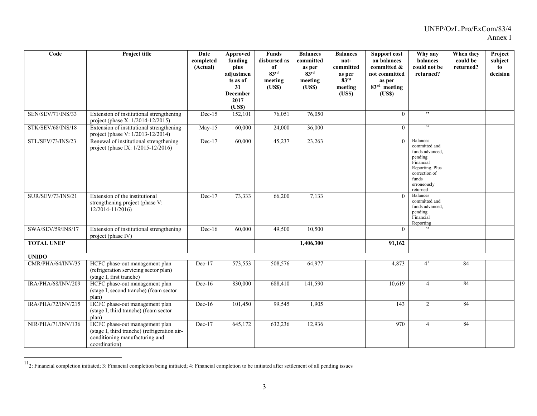| Code                     | Project title                                                                                                                     | Date<br>completed<br>(Actual) | Approved<br>funding<br>plus<br>adjustmen<br>ts as of<br>31<br><b>December</b><br>2017<br>(USS) | <b>Funds</b><br>disbursed as<br>of<br>83 <sup>rd</sup><br>meeting<br>(USS) | <b>Balances</b><br>committed<br>as per<br>$83^{\rm rd}$<br>meeting<br>( <b>USS</b> ) | <b>Balances</b><br>not-<br>committed<br>as per<br>83 <sup>rd</sup><br>meeting<br>(USS) | <b>Support cost</b><br>on balances<br>committed &<br>not committed<br>as per<br>83rd meeting<br>(USS) | Why any<br>balances<br>could not be<br>returned?                                                                                                    | When they<br>could be<br>returned? | Project<br>subject<br>to<br>decision |
|--------------------------|-----------------------------------------------------------------------------------------------------------------------------------|-------------------------------|------------------------------------------------------------------------------------------------|----------------------------------------------------------------------------|--------------------------------------------------------------------------------------|----------------------------------------------------------------------------------------|-------------------------------------------------------------------------------------------------------|-----------------------------------------------------------------------------------------------------------------------------------------------------|------------------------------------|--------------------------------------|
| SEN/SEV/71/INS/33        | Extension of institutional strengthening<br>project (phase X: 1/2014-12/2015)                                                     | $Dec-15$                      | 152,101                                                                                        | 76,051                                                                     | 76,050                                                                               |                                                                                        | $\overline{0}$                                                                                        | , ,                                                                                                                                                 |                                    |                                      |
| STK/SEV/68/INS/18        | Extension of institutional strengthening<br>project (phase V: 1/2013-12/2014)                                                     | $May-15$                      | 60,000                                                                                         | 24,000                                                                     | 36,000                                                                               |                                                                                        | $\overline{0}$                                                                                        | , ,                                                                                                                                                 |                                    |                                      |
| STL/SEV/73/INS/23        | Renewal of institutional strengthening<br>project (phase IX: 1/2015-12/2016)                                                      | $Dec-17$                      | 60,000                                                                                         | 45,237                                                                     | 23,263                                                                               |                                                                                        | $\theta$                                                                                              | <b>Balances</b><br>committed and<br>funds advanced,<br>pending<br>Financial<br>Reporting. Plus<br>correction of<br>funds<br>erroneously<br>returned |                                    |                                      |
| <b>SUR/SEV/73/INS/21</b> | Extension of the institutional<br>strengthening project (phase V:<br>12/2014-11/2016)                                             | $Dec-17$                      | 73,333                                                                                         | 66,200                                                                     | 7,133                                                                                |                                                                                        | $\theta$                                                                                              | Balances<br>committed and<br>funds advanced,<br>pending<br>Financial<br>Reporting                                                                   |                                    |                                      |
| SWA/SEV/59/INS/17        | Extension of institutional strengthening<br>project (phase IV)                                                                    | $Dec-16$                      | 60,000                                                                                         | 49,500                                                                     | 10,500                                                                               |                                                                                        | $\Omega$                                                                                              | , ,                                                                                                                                                 |                                    |                                      |
| <b>TOTAL UNEP</b>        |                                                                                                                                   |                               |                                                                                                |                                                                            | 1,406,300                                                                            |                                                                                        | 91,162                                                                                                |                                                                                                                                                     |                                    |                                      |
| <b>UNIDO</b>             |                                                                                                                                   |                               |                                                                                                |                                                                            |                                                                                      |                                                                                        |                                                                                                       |                                                                                                                                                     |                                    |                                      |
| CMR/PHA/64/INV/35        | HCFC phase-out management plan<br>(refrigeration servicing sector plan)<br>(stage I, first tranche)                               | Dec-17                        | 573,553                                                                                        | 508,576                                                                    | 64,977                                                                               |                                                                                        | 4,873                                                                                                 | $4^{11}$                                                                                                                                            | 84                                 |                                      |
| IRA/PHA/68/INV/209       | HCFC phase-out management plan<br>(stage I, second tranche) (foam sector<br>plan)                                                 | $Dec-16$                      | 830,000                                                                                        | 688,410                                                                    | 141,590                                                                              |                                                                                        | 10,619                                                                                                | $\overline{4}$                                                                                                                                      | 84                                 |                                      |
| IRA/PHA/72/INV/215       | HCFC phase-out management plan<br>(stage I, third tranche) (foam sector<br>plan)                                                  | $Dec-16$                      | 101,450                                                                                        | 99,545                                                                     | 1,905                                                                                |                                                                                        | 143                                                                                                   | $\overline{2}$                                                                                                                                      | 84                                 |                                      |
| NIR/PHA/71/INV/136       | HCFC phase-out management plan<br>(stage I, third tranche) (refrigeration air-<br>conditioning manufacturing and<br>coordination) | $Dec-17$                      | 645,172                                                                                        | 632,236                                                                    | 12,936                                                                               |                                                                                        | 970                                                                                                   | $\overline{4}$                                                                                                                                      | 84                                 |                                      |

 $11$ 2: Financial completion initiated; 3: Financial completion being initiated; 4: Financial completion to be initiated after settlement of all pending issues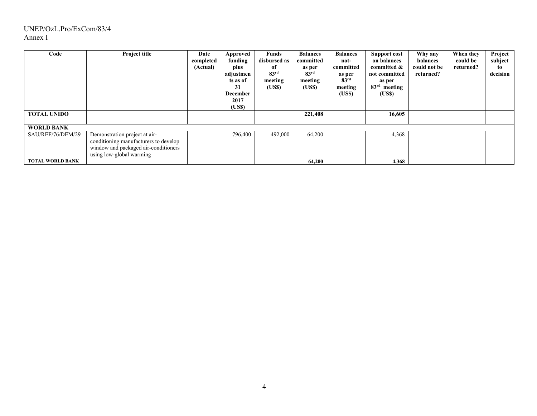## UNEP/OzL.Pro/ExCom/83/4 Annex I

| Code<br><b>TOTAL UNIDO</b> | Project title                                                                                                                              | Date<br>completed<br>(Actual) | Approved<br>funding<br>plus<br>adjustmen<br>ts as of<br>31<br><b>December</b><br>2017<br>(US\$) | <b>Funds</b><br>disbursed as<br>of<br>83 <sup>rd</sup><br>meeting<br>(US\$) | <b>Balances</b><br>committed<br>as per<br>83 <sup>rd</sup><br>meeting<br>(US\$)<br>221,408 | <b>Balances</b><br>not-<br>committed<br>as per<br>83 <sup>rd</sup><br>meeting<br>(US\$) | <b>Support cost</b><br>on balances<br>committed &<br>not committed<br>as per<br>$83rd$ meeting<br>(US\$)<br>16,605 | Why any<br>balances<br>could not be<br>returned? | When they<br>could be<br>returned? | Project<br>subject<br>to<br>decision |
|----------------------------|--------------------------------------------------------------------------------------------------------------------------------------------|-------------------------------|-------------------------------------------------------------------------------------------------|-----------------------------------------------------------------------------|--------------------------------------------------------------------------------------------|-----------------------------------------------------------------------------------------|--------------------------------------------------------------------------------------------------------------------|--------------------------------------------------|------------------------------------|--------------------------------------|
| <b>WORLD BANK</b>          |                                                                                                                                            |                               |                                                                                                 |                                                                             |                                                                                            |                                                                                         |                                                                                                                    |                                                  |                                    |                                      |
| SAU/REF/76/DEM/29          | Demonstration project at air-<br>conditioning manufacturers to develop<br>window and packaged air-conditioners<br>using low-global warming |                               | 796,400                                                                                         | 492,000                                                                     | 64,200                                                                                     |                                                                                         | 4,368                                                                                                              |                                                  |                                    |                                      |
| <b>TOTAL WORLD BANK</b>    |                                                                                                                                            |                               |                                                                                                 |                                                                             | 64,200                                                                                     |                                                                                         | 4,368                                                                                                              |                                                  |                                    |                                      |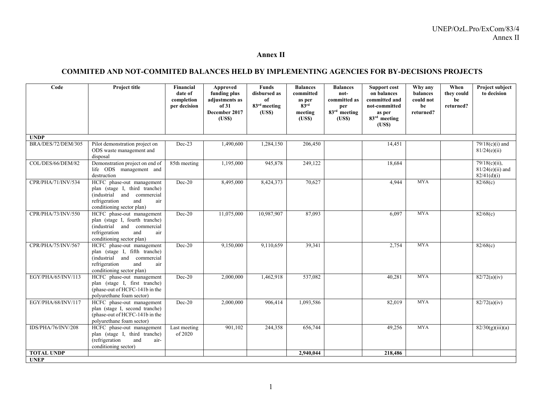#### **Annex II**

### **COMMITED AND NOT-COMMITED BALANCES HELD BY IMPLEMENTING AGENCIES FOR BY-DECISIONS PROJECTS**

| Code                      | Project title                                                                                                                                         | Financial<br>date of<br>completion<br>per decision | Approved<br>funding plus<br>adjustments as<br>of 31<br>December 2017<br>(USS) | <b>Funds</b><br>disbursed as<br>of<br>83 <sup>rd</sup> meeting<br>( <b>USS</b> ) | <b>Balances</b><br>committed<br>as per<br>83 <sup>rd</sup><br>meeting<br>(US\$) | <b>Balances</b><br>not-<br>committed as<br>per<br>$83rd$ meeting<br>(US\$) | <b>Support cost</b><br>on balances<br>committed and<br>not-committed<br>as per<br>83 <sup>rd</sup> meeting<br>( <b>USS</b> ) | Why any<br>balances<br>could not<br>be<br>returned? | When<br>they could<br>be<br>returned? | Project subject<br>to decision                        |
|---------------------------|-------------------------------------------------------------------------------------------------------------------------------------------------------|----------------------------------------------------|-------------------------------------------------------------------------------|----------------------------------------------------------------------------------|---------------------------------------------------------------------------------|----------------------------------------------------------------------------|------------------------------------------------------------------------------------------------------------------------------|-----------------------------------------------------|---------------------------------------|-------------------------------------------------------|
| <b>UNDP</b>               |                                                                                                                                                       |                                                    |                                                                               |                                                                                  |                                                                                 |                                                                            |                                                                                                                              |                                                     |                                       |                                                       |
| <b>BRA/DES/72/DEM/305</b> | Pilot demonstration project on<br>ODS waste management and<br>disposal                                                                                | $Dec-23$                                           | 1,490,600                                                                     | 1,284,150                                                                        | 206,450                                                                         |                                                                            | 14,451                                                                                                                       |                                                     |                                       | $79/18(c)(i)$ and<br>81/24(e)(ii)                     |
| COL/DES/66/DEM/82         | Demonstration project on end of<br>life ODS management and<br>destruction                                                                             | 85th meeting                                       | 1,195,000                                                                     | 945,878                                                                          | 249,122                                                                         |                                                                            | 18,684                                                                                                                       |                                                     |                                       | $79/18(c)(ii)$ ,<br>$81/24(e)(ii)$ and<br>82/41(d)(i) |
| CPR/PHA/71/INV/534        | HCFC phase-out management<br>plan (stage I, third tranche)<br>(industrial and commercial<br>refrigeration<br>and<br>air<br>conditioning sector plan)  | $Dec-20$                                           | 8,495,000                                                                     | 8,424,373                                                                        | 70,627                                                                          |                                                                            | 4,944                                                                                                                        | <b>MYA</b>                                          |                                       | 82/68(c)                                              |
| CPR/PHA/73/INV/550        | HCFC phase-out management<br>plan (stage I, fourth tranche)<br>(industrial and commercial<br>refrigeration<br>and<br>air<br>conditioning sector plan) | $Dec-20$                                           | 11,075,000                                                                    | 10,987,907                                                                       | 87,093                                                                          |                                                                            | 6,097                                                                                                                        | <b>MYA</b>                                          |                                       | 82/68(c)                                              |
| CPR/PHA/75/INV/567        | HCFC phase-out management<br>plan (stage I, fifth tranche)<br>(industrial and commercial<br>refrigeration<br>and<br>air<br>conditioning sector plan)  | $Dec-20$                                           | 9,150,000                                                                     | 9,110,659                                                                        | 39,341                                                                          |                                                                            | 2,754                                                                                                                        | <b>MYA</b>                                          |                                       | 82/68(c)                                              |
| EGY/PHA/65/INV/113        | HCFC phase-out management<br>plan (stage I, first tranche)<br>(phase-out of HCFC-141b in the<br>polyurethane foam sector)                             | $Dec-20$                                           | 2,000,000                                                                     | 1,462,918                                                                        | 537,082                                                                         |                                                                            | 40,281                                                                                                                       | <b>MYA</b>                                          |                                       | 82/72(a)(iv)                                          |
| EGY/PHA/68/INV/117        | HCFC phase-out management<br>plan (stage I, second tranche)<br>(phase-out of HCFC-141b in the<br>polyurethane foam sector)                            | $Dec-20$                                           | 2,000,000                                                                     | 906,414                                                                          | 1,093,586                                                                       |                                                                            | 82,019                                                                                                                       | <b>MYA</b>                                          |                                       | 82/72(a)(iv)                                          |
| IDS/PHA/76/INV/208        | HCFC phase-out management<br>plan (stage I, third tranche)<br>(refrigeration<br>and<br>air-<br>conditioning sector)                                   | Last meeting<br>of 2020                            | 901,102                                                                       | 244,358                                                                          | 656,744                                                                         |                                                                            | 49,256                                                                                                                       | <b>MYA</b>                                          |                                       | 82/30(g)(iii)(a)                                      |
| <b>TOTAL UNDP</b>         |                                                                                                                                                       |                                                    |                                                                               |                                                                                  | 2.940.044                                                                       |                                                                            | 218,486                                                                                                                      |                                                     |                                       |                                                       |
| <b>UNEP</b>               |                                                                                                                                                       |                                                    |                                                                               |                                                                                  |                                                                                 |                                                                            |                                                                                                                              |                                                     |                                       |                                                       |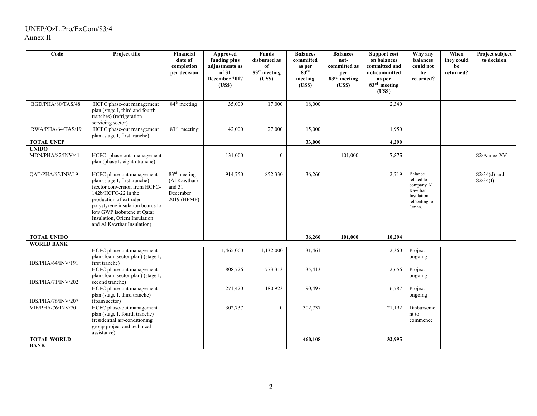### UNEP/OzL.Pro/ExCom/83/4 Annex II

| Code                              | Project title                                                                                                                                                                                                                                                                 | Financial<br>date of<br>completion<br>per decision                            | <b>Approved</b><br>funding plus<br>adjustments as<br>of 31<br>December 2017<br>(USS) | Funds<br>disbursed as<br>of<br>83 <sup>rd</sup> meeting<br>(USS) | <b>Balances</b><br>committed<br>as per<br>83 <sup>rd</sup><br>meeting<br>(USS) | <b>Balances</b><br>not-<br>committed as<br>per<br>$83rd$ meeting<br>(USS) | <b>Support cost</b><br>on balances<br>committed and<br>not-committed<br>as per<br>83 <sup>rd</sup> meeting<br>(USS) | Why any<br>balances<br>could not<br>be<br>returned?                                    | When<br>they could<br>be<br>returned? | Project subject<br>to decision |
|-----------------------------------|-------------------------------------------------------------------------------------------------------------------------------------------------------------------------------------------------------------------------------------------------------------------------------|-------------------------------------------------------------------------------|--------------------------------------------------------------------------------------|------------------------------------------------------------------|--------------------------------------------------------------------------------|---------------------------------------------------------------------------|---------------------------------------------------------------------------------------------------------------------|----------------------------------------------------------------------------------------|---------------------------------------|--------------------------------|
| BGD/PHA/80/TAS/48                 | HCFC phase-out management<br>plan (stage I, third and fourth<br>tranches) (refrigeration<br>servicing sector)                                                                                                                                                                 | $84th$ meeting                                                                | 35,000                                                                               | 17,000                                                           | 18,000                                                                         |                                                                           | 2,340                                                                                                               |                                                                                        |                                       |                                |
| RWA/PHA/64/TAS/19                 | HCFC phase-out management<br>plan (stage I, first tranche)                                                                                                                                                                                                                    | $83rd$ meeting                                                                | 42,000                                                                               | 27,000                                                           | 15,000                                                                         |                                                                           | 1,950                                                                                                               |                                                                                        |                                       |                                |
| <b>TOTAL UNEP</b>                 |                                                                                                                                                                                                                                                                               |                                                                               |                                                                                      |                                                                  | 33,000                                                                         |                                                                           | 4,290                                                                                                               |                                                                                        |                                       |                                |
| <b>UNIDO</b>                      |                                                                                                                                                                                                                                                                               |                                                                               |                                                                                      |                                                                  |                                                                                |                                                                           |                                                                                                                     |                                                                                        |                                       |                                |
| MDN/PHA/82/INV/41                 | HCFC phase-out management<br>plan (phase I, eighth tranche)                                                                                                                                                                                                                   |                                                                               | 131,000                                                                              | $\Omega$                                                         |                                                                                | 101,000                                                                   | 7,575                                                                                                               |                                                                                        |                                       | 82/Annex XV                    |
| QAT/PHA/65/INV/19                 | HCFC phase-out management<br>plan (stage I, first tranche)<br>(sector conversion from HCFC-<br>142b/HCFC-22 in the<br>production of extruded<br>polystyrene insulation boards to<br>low GWP isobutene at Qatar<br>Insulation, Orient Insulation<br>and Al Kawthar Insulation) | 83 <sup>rd</sup> meeting<br>(Al Kawthar)<br>and 31<br>December<br>2019 (HPMP) | 914,750                                                                              | 852,330                                                          | 36,260                                                                         |                                                                           | 2,719                                                                                                               | Balance<br>related to<br>company Al<br>Kawthar<br>Insulation<br>relocating to<br>Oman. |                                       | $82/34(d)$ and<br>82/34(f)     |
| <b>TOTAL UNIDO</b>                |                                                                                                                                                                                                                                                                               |                                                                               |                                                                                      |                                                                  | 36,260                                                                         | 101,000                                                                   | 10,294                                                                                                              |                                                                                        |                                       |                                |
| <b>WORLD BANK</b>                 |                                                                                                                                                                                                                                                                               |                                                                               |                                                                                      |                                                                  |                                                                                |                                                                           |                                                                                                                     |                                                                                        |                                       |                                |
| IDS/PHA/64/INV/191                | HCFC phase-out management<br>plan (foam sector plan) (stage I,<br>first tranche)                                                                                                                                                                                              |                                                                               | 1,465,000                                                                            | 1,132,000                                                        | 31,461                                                                         |                                                                           | 2,360                                                                                                               | Project<br>ongoing                                                                     |                                       |                                |
| IDS/PHA/71/INV/202                | HCFC phase-out management<br>plan (foam sector plan) (stage I,<br>second tranche)                                                                                                                                                                                             |                                                                               | 808,726                                                                              | 773,313                                                          | 35,413                                                                         |                                                                           | 2,656                                                                                                               | Project<br>ongoing                                                                     |                                       |                                |
| IDS/PHA/76/INV/207                | HCFC phase-out management<br>plan (stage I, third tranche)<br>(foam sector)                                                                                                                                                                                                   |                                                                               | 271,420                                                                              | 180,923                                                          | 90,497                                                                         |                                                                           | 6,787                                                                                                               | Project<br>ongoing                                                                     |                                       |                                |
| VIE/PHA/76/INV/70                 | HCFC phase-out management<br>plan (stage I, fourth tranche)<br>(residential air-conditioning<br>group project and technical<br>assistance)                                                                                                                                    |                                                                               | 302,737                                                                              | $\theta$                                                         | 302,737                                                                        |                                                                           | 21,192                                                                                                              | Disburseme<br>nt to<br>commence                                                        |                                       |                                |
| <b>TOTAL WORLD</b><br><b>BANK</b> |                                                                                                                                                                                                                                                                               |                                                                               |                                                                                      |                                                                  | 460,108                                                                        |                                                                           | 32,995                                                                                                              |                                                                                        |                                       |                                |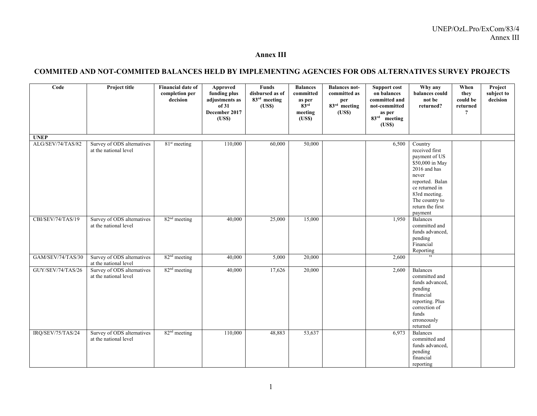#### UNEP/OzL.Pro/ExCom/83/4 Annex III

#### **Annex III**

### **COMMITED AND NOT-COMMITED BALANCES HELD BY IMPLEMENTING AGENCIES FOR ODS ALTERNATIVES SURVEY PROJECTS**

| Code              | Project title                                       | <b>Financial date of</b><br>completion per<br>decision | Approved<br>funding plus<br>adjustments as<br>of 31<br>December 2017<br>(USS) | Funds<br>disbursed as of<br>83rd meeting<br>(USS) | <b>Balances</b><br>committed<br>as per $83^{\text{rd}}$<br>meeting<br>(USS) | <b>Balances not-</b><br>committed as<br>per<br>$83rd$ meeting<br>(US\$) | Support cost<br>on balances<br>committed and<br>not-committed<br>as per<br>$83rd$ meeting<br>(USS) | Why any<br>balances could<br>not be<br>returned?                                                                                                                                              | When<br>they<br>could be<br>returned<br>? | Project<br>subject to<br>decision |
|-------------------|-----------------------------------------------------|--------------------------------------------------------|-------------------------------------------------------------------------------|---------------------------------------------------|-----------------------------------------------------------------------------|-------------------------------------------------------------------------|----------------------------------------------------------------------------------------------------|-----------------------------------------------------------------------------------------------------------------------------------------------------------------------------------------------|-------------------------------------------|-----------------------------------|
| <b>UNEP</b>       |                                                     |                                                        |                                                                               |                                                   |                                                                             |                                                                         |                                                                                                    |                                                                                                                                                                                               |                                           |                                   |
| ALG/SEV/74/TAS/82 | Survey of ODS alternatives<br>at the national level | $81st$ meeting                                         | 110,000                                                                       | 60,000                                            | 50,000                                                                      |                                                                         | 6,500                                                                                              | Country<br>received first<br>payment of US<br>\$50,000 in May<br>2016 and has<br>never<br>reported. Balan<br>ce returned in<br>83rd meeting.<br>The country to<br>return the first<br>payment |                                           |                                   |
| CBI/SEV/74/TAS/19 | Survey of ODS alternatives<br>at the national level | 82 <sup>nd</sup> meeting                               | 40,000                                                                        | 25,000                                            | 15,000                                                                      |                                                                         | 1,950                                                                                              | Balances<br>committed and<br>funds advanced,<br>pending<br>Financial<br>Reporting                                                                                                             |                                           |                                   |
| GAM/SEV/74/TAS/30 | Survey of ODS alternatives<br>at the national level | 82 <sup>nd</sup> meeting                               | 40,000                                                                        | 5,000                                             | 20,000                                                                      |                                                                         | 2,600                                                                                              | , ,                                                                                                                                                                                           |                                           |                                   |
| GUY/SEV/74/TAS/26 | Survey of ODS alternatives<br>at the national level | 82 <sup>nd</sup> meeting                               | 40,000                                                                        | 17,626                                            | 20,000                                                                      |                                                                         | 2,600                                                                                              | Balances<br>committed and<br>funds advanced,<br>pending<br>financial<br>reporting. Plus<br>correction of<br>funds<br>erroneously<br>returned                                                  |                                           |                                   |
| IRQ/SEV/75/TAS/24 | Survey of ODS alternatives<br>at the national level | 82 <sup>nd</sup> meeting                               | 110,000                                                                       | 48,883                                            | 53,637                                                                      |                                                                         | 6,973                                                                                              | Balances<br>committed and<br>funds advanced,<br>pending<br>financial<br>reporting                                                                                                             |                                           |                                   |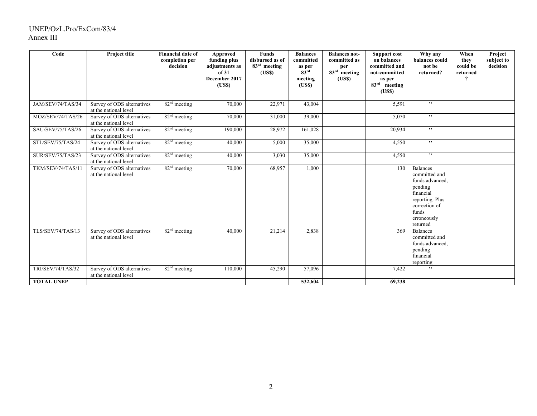### UNEP/OzL.Pro/ExCom/83/4 Annex III

| Code                     | Project title                                       | <b>Financial date of</b><br>completion per<br>decision | Approved<br>funding plus<br>adjustments as<br>of 31<br>December 2017<br>( <b>USS</b> ) | <b>Funds</b><br>disbursed as of<br>83 <sup>rd</sup> meeting<br>(USS) | <b>Balances</b><br>committed<br>as per<br>83 <sup>rd</sup><br>meeting<br>( <b>USS</b> ) | <b>Balances not-</b><br>committed as<br>per<br>83 <sup>rd</sup> meeting<br>(USS) | <b>Support cost</b><br>on balances<br>committed and<br>not-committed<br>as per<br>83 <sup>rd</sup><br>meeting<br>(USS) | Why any<br>balances could<br>not be<br>returned?                                                                                                    | When<br>they<br>could be<br>returned<br>? | Project<br>subject to<br>decision |
|--------------------------|-----------------------------------------------------|--------------------------------------------------------|----------------------------------------------------------------------------------------|----------------------------------------------------------------------|-----------------------------------------------------------------------------------------|----------------------------------------------------------------------------------|------------------------------------------------------------------------------------------------------------------------|-----------------------------------------------------------------------------------------------------------------------------------------------------|-------------------------------------------|-----------------------------------|
| JAM/SEV/74/TAS/34        | Survey of ODS alternatives<br>at the national level | $82nd$ meeting                                         | 70,000                                                                                 | 22,971                                                               | 43,004                                                                                  |                                                                                  | 5,591                                                                                                                  | , ,                                                                                                                                                 |                                           |                                   |
| MOZ/SEV/74/TAS/26        | Survey of ODS alternatives<br>at the national level | $82nd$ meeting                                         | 70,000                                                                                 | 31,000                                                               | 39,000                                                                                  |                                                                                  | 5,070                                                                                                                  | , ,                                                                                                                                                 |                                           |                                   |
| SAU/SEV/75/TAS/26        | Survey of ODS alternatives<br>at the national level | 82 <sup>nd</sup> meeting                               | 190,000                                                                                | 28,972                                                               | 161,028                                                                                 |                                                                                  | 20,934                                                                                                                 | , ,                                                                                                                                                 |                                           |                                   |
| STL/SEV/75/TAS/24        | Survey of ODS alternatives<br>at the national level | 82 <sup>nd</sup> meeting                               | 40,000                                                                                 | 5,000                                                                | 35,000                                                                                  |                                                                                  | 4,550                                                                                                                  | , ,                                                                                                                                                 |                                           |                                   |
| SUR/SEV/75/TAS/23        | Survey of ODS alternatives<br>at the national level | $82nd$ meeting                                         | 40,000                                                                                 | 3,030                                                                | 35,000                                                                                  |                                                                                  | 4,550                                                                                                                  | , ,                                                                                                                                                 |                                           |                                   |
| TKM/SEV/74/TAS/11        | Survey of ODS alternatives<br>at the national level | $82nd$ meeting                                         | 70,000                                                                                 | 68,957                                                               | 1,000                                                                                   |                                                                                  | 130                                                                                                                    | <b>Balances</b><br>committed and<br>funds advanced,<br>pending<br>financial<br>reporting. Plus<br>correction of<br>funds<br>erroneously<br>returned |                                           |                                   |
| <b>TLS/SEV/74/TAS/13</b> | Survey of ODS alternatives<br>at the national level | 82 <sup>nd</sup> meeting                               | 40,000                                                                                 | 21,214                                                               | 2,838                                                                                   |                                                                                  | 369                                                                                                                    | <b>Balances</b><br>committed and<br>funds advanced,<br>pending<br>financial<br>reporting                                                            |                                           |                                   |
| TRI/SEV/74/TAS/32        | Survey of ODS alternatives<br>at the national level | $82nd$ meeting                                         | 110,000                                                                                | 45,290                                                               | 57,096                                                                                  |                                                                                  | 7,422                                                                                                                  | , ,                                                                                                                                                 |                                           |                                   |
| <b>TOTAL UNEP</b>        |                                                     |                                                        |                                                                                        |                                                                      | 532,604                                                                                 |                                                                                  | 69,238                                                                                                                 |                                                                                                                                                     |                                           |                                   |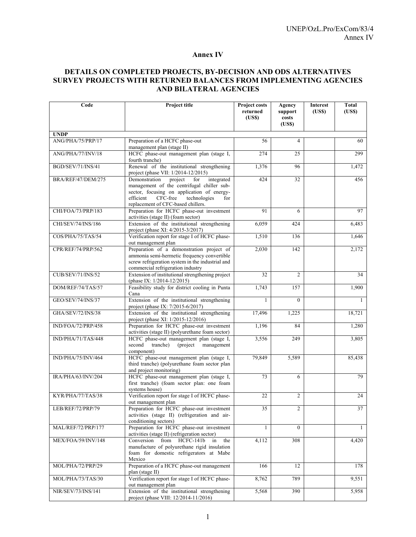### **Annex IV**

## **DETAILS ON COMPLETED PROJECTS, BY-DECISION AND ODS ALTERNATIVES SURVEY PROJECTS WITH RETURNED BALANCES FROM IMPLEMENTING AGENCIES AND BILATERAL AGENCIES**

| Code                     | Project title                                                                                                                                                                                                                | Project costs<br>returned<br>(USS) | Agency<br>support<br>costs<br>(USS) | <b>Interest</b><br>(USS) | <b>Total</b><br>(USS) |
|--------------------------|------------------------------------------------------------------------------------------------------------------------------------------------------------------------------------------------------------------------------|------------------------------------|-------------------------------------|--------------------------|-----------------------|
| <b>UNDP</b>              |                                                                                                                                                                                                                              |                                    |                                     |                          |                       |
| ANG/PHA/75/PRP/17        | Preparation of a HCFC phase-out<br>management plan (stage II)                                                                                                                                                                | 56                                 | 4                                   |                          | 60                    |
| ANG/PHA/77/INV/18        | HCFC phase-out management plan (stage I,<br>fourth tranche)                                                                                                                                                                  | 274                                | 25                                  |                          | 299                   |
| BGD/SEV/71/INS/41        | Renewal of the institutional strengthening<br>project (phase VII: 1/2014-12/2015)                                                                                                                                            | 1,376                              | 96                                  |                          | 1,472                 |
| BRA/REF/47/DEM/275       | Demonstration<br>project for<br>integrated<br>management of the centrifugal chiller sub-<br>sector, focusing on application of energy-<br>CFC-free<br>efficient<br>technologies<br>for<br>replacement of CFC-based chillers. | 424                                | 32                                  |                          | 456                   |
| CHI/FOA/73/PRP/183       | Preparation for HCFC phase-out investment<br>activities (stage II) (foam sector)                                                                                                                                             | 91                                 | 6                                   |                          | 97                    |
| CHI/SEV/74/INS/186       | Extension of the institutional strengthening<br>project (phase XI: 4/2015-3/2017)                                                                                                                                            | 6,059                              | 424                                 |                          | 6,483                 |
| COS/PHA/75/TAS/54        | Verification report for stage I of HCFC phase-<br>out management plan                                                                                                                                                        | 1,510                              | 136                                 |                          | 1,646                 |
| CPR/REF/74/PRP/562       | Preparation of a demonstration project of<br>ammonia semi-hermetic frequency convertible<br>screw refrigeration system in the industrial and<br>commercial refrigeration industry                                            | 2.030                              | 142                                 |                          | 2,172                 |
| <b>CUB/SEV/71/INS/52</b> | Extension of institutional strengthening project<br>(phase IX: 1/2014-12/2015)                                                                                                                                               | 32                                 | $\overline{2}$                      |                          | 34                    |
| DOM/REF/74/TAS/57        | Feasibility study for district cooling in Punta<br>Cana                                                                                                                                                                      | 1,743                              | 157                                 |                          | 1,900                 |
| GEO/SEV/74/INS/37        | Extension of the institutional strengthening<br>project (phase IX: 7/2015-6/2017)                                                                                                                                            | 1                                  | $\Omega$                            |                          | $\mathbf{1}$          |
| GHA/SEV/72/INS/38        | Extension of the institutional strengthening<br>project (phase XI: 1/2015-12/2016)                                                                                                                                           | 17,496                             | 1,225                               |                          | 18,721                |
| IND/FOA/72/PRP/458       | Preparation for HCFC phase-out investment<br>activities (stage II) (polyurethane foam sector)                                                                                                                                | 1,196                              | 84                                  |                          | 1,280                 |
| IND/PHA/71/TAS/448       | HCFC phase-out management plan (stage I,<br>second<br>tranche)<br>(project)<br>management<br>component)                                                                                                                      | 3,556                              | 249                                 |                          | 3,805                 |
| IND/PHA/75/INV/464       | HCFC phase-out management plan (stage I,<br>third tranche) (polyurethane foam sector plan<br>and project monitoring)                                                                                                         | 79,849                             | 5,589                               |                          | 85,438                |
| IRA/PHA/63/INV/204       | HCFC phase-out management plan (stage I,<br>first tranche) (foam sector plan: one foam<br>systems house)                                                                                                                     | 73                                 | 6                                   |                          | 79                    |
| KYR/PHA/77/TAS/38        | Verification report for stage I of HCFC phase-<br>out management plan                                                                                                                                                        | 22                                 | $\overline{2}$                      |                          | 24                    |
| LEB/REF/72/PRP/79        | Preparation for HCFC phase-out investment<br>activities (stage II) (refrigeration and air-<br>conditioning sectors)                                                                                                          | 35                                 | 2                                   |                          | 37                    |
| MAL/REF/72/PRP/177       | Preparation for HCFC phase-out investment<br>activities (stage II) (refrigeration sector)                                                                                                                                    | $\mathbf{1}$                       | $\Omega$                            |                          | $\mathbf{1}$          |
| MEX/FOA/59/INV/148       | Conversion<br>from<br>HCFC-141b<br>in<br>the<br>manufacture of polyurethane rigid insulation<br>foam for domestic refrigerators at Mabe<br>Mexico                                                                            | 4,112                              | 308                                 |                          | 4,420                 |
| MOL/PHA/72/PRP/29        | Preparation of a HCFC phase-out management<br>plan (stage II)                                                                                                                                                                | 166                                | 12                                  |                          | 178                   |
| MOL/PHA/73/TAS/30        | Verification report for stage I of HCFC phase-<br>out management plan                                                                                                                                                        | 8,762                              | 789                                 |                          | 9,551                 |
| NIR/SEV/73/INS/141       | Extension of the institutional strengthening<br>project (phase VIII: 12/2014-11/2016)                                                                                                                                        | 5,568                              | 390                                 |                          | 5,958                 |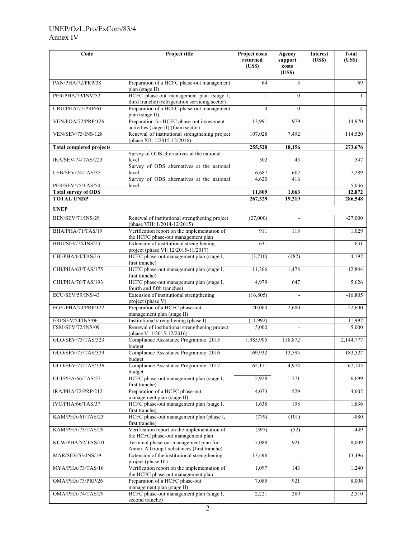## UNEP/OzL.Pro/ExCom/83/4 Annex IV

| Code                            | Project title                                                                               | Project costs<br>returned<br>(USS) | Agency<br>support<br>costs<br>(USS) | <b>Interest</b><br>(USS) | <b>Total</b><br>(USS) |
|---------------------------------|---------------------------------------------------------------------------------------------|------------------------------------|-------------------------------------|--------------------------|-----------------------|
| PAN/PHA/72/PRP/38               | Preparation of a HCFC phase-out management<br>plan (stage II)                               | 64                                 | 5                                   |                          | 69                    |
| PER/PHA/79/INV/52               | HCFC phase-out management plan (stage I,<br>third tranche) (refrigeration servicing sector) | 1                                  | $\Omega$                            |                          | 1                     |
| URU/PHA/72/PRP/61               | Preparation of a HCFC phase-out management<br>plan (stage II)                               | $\overline{4}$                     | $\theta$                            |                          | $\overline{4}$        |
| VEN/FOA/72/PRP/126              | Preparation for HCFC phase-out investment<br>activities (stage II) (foam sector)            | 13,991                             | 979                                 |                          | 14,970                |
| <b>VEN/SEV/73/INS/128</b>       | Renewal of institutional strengthening project<br>(phase XII: 1/2015-12/2016)               | 107,028                            | 7,492                               |                          | 114,520               |
| <b>Total completed projects</b> |                                                                                             | 255,520                            | 18,156                              |                          | 273,676               |
| IRA/SEV/74/TAS/223              | Survey of ODS alternatives at the national<br>level                                         | 502                                | 45                                  |                          | 547                   |
| LEB/SEV/74/TAS/35               | Survey of ODS alternatives at the national<br>level                                         | 6,687                              | 602                                 |                          | 7,289                 |
| PER/SEV/75/TAS/50               | Survey of ODS alternatives at the national<br>level                                         | 4,620                              | 416                                 |                          | 5,036                 |
| <b>Total survey of ODS</b>      |                                                                                             | 11,809                             | 1,063                               |                          | 12,872                |
| <b>TOTAL UNDP</b>               |                                                                                             | 267,329                            | 19.219                              |                          | 286,548               |
| <b>UNEP</b>                     |                                                                                             |                                    |                                     |                          |                       |
| BEN/SEV/71/INS/29               | Renewal of institutional strengthening project<br>(phase VIII: 1/2014-12/2015)              | (27,000)                           |                                     |                          | $-27,000$             |
| BHA/PHA/71/TAS/19               | Verification report on the implementation of<br>the HCFC phase-out management plan          | 911                                | 118                                 |                          | 1,029                 |
| BHU/SEV/74/INS/23               | Extension of institutional strengthening<br>project (phase VI: 12/2015-11/2017)             | 631                                |                                     |                          | 631                   |
| CBI/PHA/64/TAS/16               | HCFC phase-out management plan (stage I,<br>first tranche)                                  | (3,710)                            | (482)                               |                          | $-4,192$              |
| CHI/PHA/63/TAS/175              | HCFC phase-out management plan (stage I,<br>first tranche)                                  | 11,366                             | 1,478                               |                          | 12,844                |
| CHI/PHA/76/TAS/193              | HCFC phase-out management plan (stage I,<br>fourth and fifth tranches)                      | 4,979                              | 647                                 |                          | 5,626                 |
| ECU/SEV/59/INS/43               | Extension of institutional strengthening<br>project (phase V)                               | (16, 805)                          |                                     |                          | $-16,805$             |
| EGY/PHA/73/PRP/122              | Preparation of a HCFC phase-out<br>management plan (stage II)                               | 20,000                             | 2,600                               |                          | 22,600                |
| ERI/SEV/54/INS/06               | Institutional strengthening (phase I)                                                       | (11,992)                           | $\overline{\phantom{a}}$            |                          | $-11,992$             |
| FSM/SEV/72/INS/09               | Renewal of institutional strengthening project<br>(phase V: 1/2015-12/2016)                 | 5,000                              |                                     |                          | 5,000                 |
| GLO/SEV/73/TAS/323              | Compliance Assistance Programme: 2015<br>budget                                             | 1,985,905                          | 158,872                             |                          | 2,144,777             |
| GLO/SEV/75/TAS/329              | Compliance Assistance Programme: 2016<br>budget                                             | 169.932                            | 13,595                              |                          | 183,527               |
| GLO/SEV/77/TAS/336              | Compliance Assistance Programme: 2017<br>budget                                             | 62,171                             | 4,974                               |                          | 67,145                |
| GUI/PHA/66/TAS/27               | HCFC phase-out management plan (stage I,<br>first tranche)                                  | 5,928                              | 771                                 |                          | 6,699                 |
| IRA/PHA/72/PRP/212              | Preparation of a HCFC phase-out<br>management plan (stage II)                               | 4,073                              | 529                                 |                          | 4,602                 |
| IVC/PHA/66/TAS/37               | HCFC phase-out management plan (stage I,<br>first tranche)                                  | 1,638                              | 198                                 |                          | 1,836                 |
| KAM/PHA/61/TAS/23               | HCFC phase-out management plan (phase I,<br>first tranche)                                  | (779)                              | (101)                               |                          | $-880$                |
| KAM/PHA/73/TAS/29               | Verification report on the implementation of<br>the HCFC phase-out management plan          | (397)                              | (52)                                |                          | $-449$                |
| KUW/PHA/52/TAS/10               | Terminal phase-out management plan for<br>Annex A Group I substances (first tranche)        | 7,088                              | 921                                 |                          | 8,009                 |
| MAR/SEV/53/INS/19               | Extension of the institutional strengthening<br>project (phase III)                         | 13,496                             |                                     |                          | 13,496                |
| MYA/PHA/73/TAS/16               | Verification report on the implementation of<br>the HCFC phase-out management plan          | 1,097                              | 143                                 |                          | 1,240                 |
| OMA/PHA/73/PRP/26               | Preparation of a HCFC phase-out<br>management plan (stage II)                               | 7,085                              | 921                                 |                          | 8,006                 |
| OMA/PHA/74/TAS/29               | HCFC phase-out management plan (stage I,<br>second tranche)                                 | 2,221                              | 289                                 |                          | 2,510                 |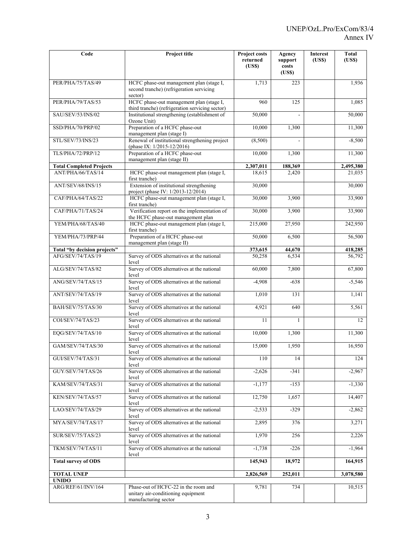| Code                               | Project title                                                                                      | Project costs<br>returned<br>(US\$) | Agency<br>support<br>costs<br>(USS) | <b>Interest</b><br>(US\$) | <b>Total</b><br>(US\$) |
|------------------------------------|----------------------------------------------------------------------------------------------------|-------------------------------------|-------------------------------------|---------------------------|------------------------|
| PER/PHA/75/TAS/49                  | HCFC phase-out management plan (stage I,<br>second tranche) (refrigeration servicing<br>sector)    | 1,713                               | 223                                 |                           | 1,936                  |
| PER/PHA/79/TAS/53                  | HCFC phase-out management plan (stage I,<br>third tranche) (refrigeration servicing sector)        | 960                                 | 125                                 |                           | 1,085                  |
| SAU/SEV/53/INS/02                  | Institutional strengthening (establishment of<br>Ozone Unit)                                       | 50,000                              |                                     |                           | 50,000                 |
| SSD/PHA/70/PRP/02                  | Preparation of a HCFC phase-out<br>management plan (stage I)                                       | 10,000                              | 1,300                               |                           | 11,300                 |
| STL/SEV/73/INS/23                  | Renewal of institutional strengthening project<br>(phase IX: 1/2015-12/2016)                       | (8,500)                             |                                     |                           | $-8,500$               |
| TLS/PHA/72/PRP/12                  | Preparation of a HCFC phase-out<br>management plan (stage II)                                      | 10,000                              | 1,300                               |                           | 11,300                 |
| <b>Total Completed Projects</b>    |                                                                                                    | 2,307,011                           | 188,369                             |                           | 2,495,380              |
| ANT/PHA/66/TAS/14                  | HCFC phase-out management plan (stage I,<br>first tranche)                                         | 18,615                              | 2,420                               |                           | 21,035                 |
| ANT/SEV/68/INS/15                  | Extension of institutional strengthening<br>project (phase IV: 1/2013-12/2014)                     | 30,000                              |                                     |                           | 30,000                 |
| CAF/PHA/64/TAS/22                  | HCFC phase-out management plan (stage I,<br>first tranche)                                         | 30,000                              | 3,900                               |                           | 33,900                 |
| CAF/PHA/71/TAS/24                  | Verification report on the implementation of<br>the HCFC phase-out management plan                 | 30,000                              | 3,900                               |                           | 33,900                 |
| YEM/PHA/68/TAS/40                  | HCFC phase-out management plan (stage I,<br>first tranche)                                         | 215,000                             | 27,950                              |                           | 242,950                |
| YEM/PHA/73/PRP/44                  | Preparation of a HCFC phase-out<br>management plan (stage II)                                      | 50,000                              | 6,500                               |                           | 56,500                 |
| Total "by decision projects"       |                                                                                                    | 373,615                             | 44,670                              |                           | 418,285                |
| AFG/SEV/74/TAS/19                  | Survey of ODS alternatives at the national<br>level                                                | 50,258                              | 6,534                               |                           | 56,792                 |
| ALG/SEV/74/TAS/82                  | Survey of ODS alternatives at the national<br>level                                                | 60,000                              | 7,800                               |                           | 67,800                 |
| ANG/SEV/74/TAS/15                  | Survey of ODS alternatives at the national<br>level                                                | $-4,908$                            | $-638$                              |                           | $-5,546$               |
| ANT/SEV/74/TAS/19                  | Survey of ODS alternatives at the national<br>level                                                | 1,010                               | 131                                 |                           | 1,141                  |
| BAH/SEV/75/TAS/30                  | Survey of ODS alternatives at the national<br>level                                                | 4,921                               | 640                                 |                           | 5,561                  |
| COI/SEV/74/TAS/23                  | Survey of ODS alternatives at the national<br>level                                                | 11                                  | $\mathbf{1}$                        |                           | 12                     |
| EQG/SEV/74/TAS/10                  | Survey of ODS alternatives at the national<br>level                                                | 10,000                              | 1,300                               |                           | 11,300                 |
| <b>GAM/SEV/74/TAS/30</b>           | Survey of ODS alternatives at the national<br>level                                                | 15,000                              | 1,950                               |                           | 16,950                 |
| GUI/SEV/74/TAS/31                  | Survey of ODS alternatives at the national<br>level                                                | 110                                 | 14                                  |                           | 124                    |
| GUY/SEV/74/TAS/26                  | Survey of ODS alternatives at the national<br>level                                                | $-2,626$                            | $-341$                              |                           | $-2,967$               |
| KAM/SEV/74/TAS/31                  | Survey of ODS alternatives at the national<br>level                                                | $-1,177$                            | $-153$                              |                           | $-1,330$               |
| KEN/SEV/74/TAS/57                  | Survey of ODS alternatives at the national<br>level                                                | 12,750                              | 1,657                               |                           | 14,407                 |
| LAO/SEV/74/TAS/29                  | Survey of ODS alternatives at the national<br>level                                                | $-2,533$                            | $-329$                              |                           | $-2,862$               |
| MYA/SEV/74/TAS/17                  | Survey of ODS alternatives at the national<br>level                                                | 2,895                               | 376                                 |                           | 3,271                  |
| <b>SUR/SEV/75/TAS/23</b>           | Survey of ODS alternatives at the national<br>level                                                | 1,970                               | 256                                 |                           | 2,226                  |
| TKM/SEV/74/TAS/11                  | Survey of ODS alternatives at the national<br>level                                                | $-1,738$                            | $-226$                              |                           | $-1,964$               |
| <b>Total survey of ODS</b>         |                                                                                                    | 145,943                             | 18,972                              |                           | 164,915                |
| <b>TOTAL UNEP</b>                  |                                                                                                    | 2,826,569                           | 252,011                             |                           | 3,078,580              |
| <b>UNIDO</b><br>ARG/REF/61/INV/164 | Phase-out of HCFC-22 in the room and<br>unitary air-conditioning equipment<br>manufacturing sector | 9,781                               | 734                                 |                           | 10,515                 |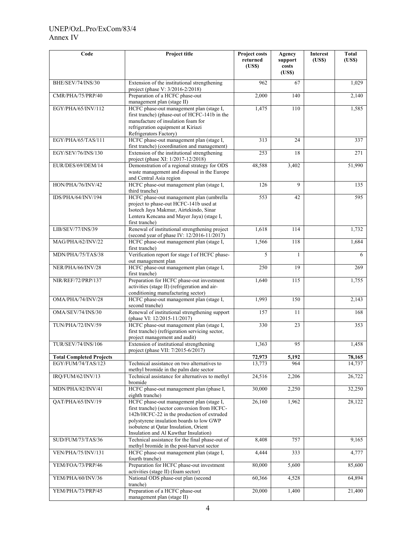## UNEP/OzL.Pro/ExCom/83/4 Annex IV

| Code                            | <b>Project title</b>                                                                                                                                                                                                                                                 | Project costs<br>returned<br>(US\$) | Agency<br>support<br>costs<br>(USS) | Interest<br>( <b>USS</b> ) | <b>Total</b><br>(US\$) |
|---------------------------------|----------------------------------------------------------------------------------------------------------------------------------------------------------------------------------------------------------------------------------------------------------------------|-------------------------------------|-------------------------------------|----------------------------|------------------------|
| BHE/SEV/74/INS/30               | Extension of the institutional strengthening<br>project (phase V: 3/2016-2/2018)                                                                                                                                                                                     | 962                                 | 67                                  |                            | 1,029                  |
| CMR/PHA/75/PRP/40               | Preparation of a HCFC phase-out<br>management plan (stage II)                                                                                                                                                                                                        | 2,000                               | 140                                 |                            | 2,140                  |
| EGY/PHA/65/INV/112              | HCFC phase-out management plan (stage I,<br>first tranche) (phase-out of HCFC-141b in the<br>manufacture of insulation foam for<br>refrigeration equipment at Kiriazi<br>Refrigerators Factory)                                                                      | 1,475                               | 110                                 |                            | 1,585                  |
| EGY/PHA/65/TAS/111              | HCFC phase-out management plan (stage I,<br>first tranche) (coordination and management)                                                                                                                                                                             | 313                                 | 24                                  |                            | 337                    |
| EGY/SEV/76/INS/130              | Extension of the institutional strengthening<br>project (phase XI: 1/2017-12/2018)                                                                                                                                                                                   | 253                                 | 18                                  |                            | 271                    |
| EUR/DES/69/DEM/14               | Demonstration of a regional strategy for ODS<br>waste management and disposal in the Europe<br>and Central Asia region                                                                                                                                               | 48,588                              | 3,402                               |                            | 51,990                 |
| HON/PHA/76/INV/42               | HCFC phase-out management plan (stage I,<br>third tranche)                                                                                                                                                                                                           | 126                                 | 9                                   |                            | 135                    |
| IDS/PHA/64/INV/194              | HCFC phase-out management plan (umbrella<br>project to phase-out HCFC-141b used at<br>Isotech Jaya Makmur, Airtekindo, Sinar<br>Lentera Kencana and Mayer Jaya) (stage I,<br>first tranche)                                                                          | 553                                 | 42                                  |                            | 595                    |
| LIB/SEV/77/INS/39               | Renewal of institutional strengthening project<br>(second year of phase IV: 12/2016-11/2017)                                                                                                                                                                         | 1.618                               | 114                                 |                            | 1,732                  |
| MAG/PHA/62/INV/22               | HCFC phase-out management plan (stage I,<br>first tranche)                                                                                                                                                                                                           | 1,566                               | 118                                 |                            | 1,684                  |
| MDN/PHA/75/TAS/38               | Verification report for stage I of HCFC phase-<br>out management plan                                                                                                                                                                                                | 5                                   | 1                                   |                            | 6                      |
| NER/PHA/66/INV/28               | HCFC phase-out management plan (stage I,<br>first tranche)                                                                                                                                                                                                           | 250                                 | 19                                  |                            | 269                    |
| NIR/REF/72/PRP/137              | Preparation for HCFC phase-out investment<br>activities (stage II) (refrigeration and air-<br>conditioning manufacturing sector)                                                                                                                                     | 1,640                               | 115                                 |                            | 1,755                  |
| OMA/PHA/74/INV/28               | HCFC phase-out management plan (stage I,<br>second tranche)                                                                                                                                                                                                          | 1,993                               | 150                                 |                            | 2,143                  |
| OMA/SEV/74/INS/30               | Renewal of institutional strengthening support<br>(phase VI: 12/2015-11/2017)                                                                                                                                                                                        | 157                                 | 11                                  |                            | 168                    |
| TUN/PHA/72/INV/59               | HCFC phase-out management plan (stage I,<br>first tranche) (refrigeration servicing sector,<br>project management and audit)                                                                                                                                         | 330                                 | 23                                  |                            | 353                    |
| TUR/SEV/74/INS/106              | Extension of institutional strengthening<br>project (phase VII: 7/2015-6/2017)                                                                                                                                                                                       | 1,363                               | 95                                  |                            | 1,458                  |
| <b>Total Completed Projects</b> |                                                                                                                                                                                                                                                                      | 72,973                              | 5,192                               |                            | 78,165                 |
| EGY/FUM/74/TAS/123              | Technical assistance on two alternatives to<br>methyl bromide in the palm date sector                                                                                                                                                                                | 13,773                              | 964                                 |                            | 14,737                 |
| IRQ/FUM/62/INV/13               | Technical assistance for alternatives to methyl<br>bromide                                                                                                                                                                                                           | 24,516                              | 2,206                               |                            | 26,722                 |
| MDN/PHA/82/INV/41               | HCFC phase-out management plan (phase I,<br>eighth tranche)                                                                                                                                                                                                          | 30,000                              | 2,250                               |                            | 32,250                 |
| QAT/PHA/65/INV/19               | HCFC phase-out management plan (stage I,<br>first tranche) (sector conversion from HCFC-<br>142b/HCFC-22 in the production of extruded<br>polystyrene insulation boards to low GWP<br>isobutene at Qatar Insulation, Orient<br>Insulation and Al Kawthar Insulation) | 26,160                              | 1,962                               |                            | 28,122                 |
| SUD/FUM/73/TAS/36               | Technical assistance for the final phase-out of<br>methyl bromide in the post-harvest sector                                                                                                                                                                         | 8,408                               | 757                                 |                            | 9,165                  |
| VEN/PHA/75/INV/131              | HCFC phase-out management plan (stage I,<br>fourth tranche)                                                                                                                                                                                                          | 4,444                               | 333                                 |                            | 4,777                  |
| YEM/FOA/73/PRP/46               | Preparation for HCFC phase-out investment<br>activities (stage II) (foam sector)                                                                                                                                                                                     | 80,000                              | 5,600                               |                            | 85,600                 |
| YEM/PHA/60/INV/36               | National ODS phase-out plan (second<br>tranche)                                                                                                                                                                                                                      | 60,366                              | 4,528                               |                            | 64,894                 |
| YEM/PHA/73/PRP/45               | Preparation of a HCFC phase-out<br>management plan (stage II)                                                                                                                                                                                                        | 20,000                              | 1,400                               |                            | 21,400                 |